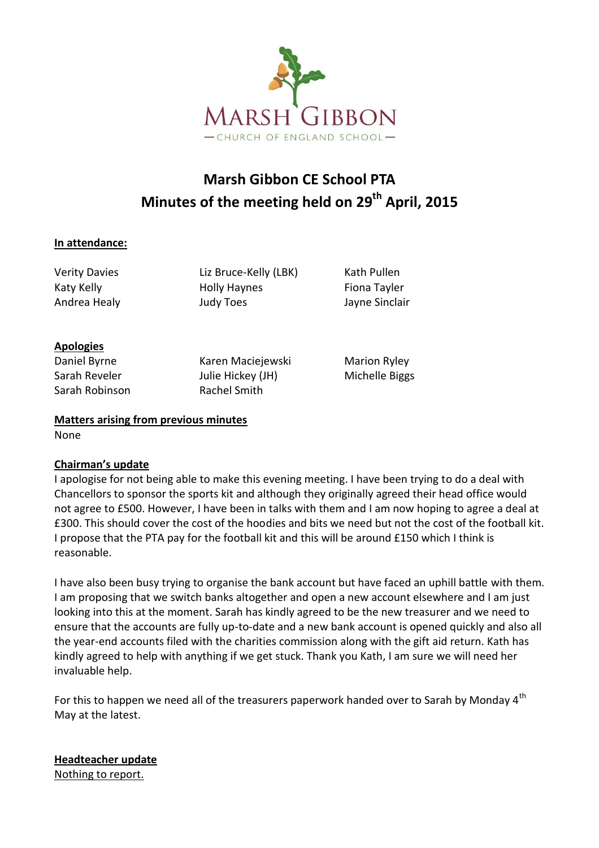

# **Marsh Gibbon CE School PTA Minutes of the meeting held on 29th April, 2015**

#### **In attendance:**

Verity Davies Liz Bruce-Kelly (LBK) Kath Pullen Katy Kelly **Katy Kelly Holly Haynes** Fiona Tayler Andrea Healy **Andrea Healy** Judy Toes **Andrea Healy** Jayne Sinclair

### **Apologies**

Sarah Robinson Rachel Smith

Daniel Byrne Karen Maciejewski Marion Ryley Sarah Reveler **Julie Hickey (JH)** Michelle Biggs

## **Matters arising from previous minutes**

None

## **Chairman's update**

I apologise for not being able to make this evening meeting. I have been trying to do a deal with Chancellors to sponsor the sports kit and although they originally agreed their head office would not agree to £500. However, I have been in talks with them and I am now hoping to agree a deal at £300. This should cover the cost of the hoodies and bits we need but not the cost of the football kit. I propose that the PTA pay for the football kit and this will be around £150 which I think is reasonable.

I have also been busy trying to organise the bank account but have faced an uphill battle with them. I am proposing that we switch banks altogether and open a new account elsewhere and I am just looking into this at the moment. Sarah has kindly agreed to be the new treasurer and we need to ensure that the accounts are fully up-to-date and a new bank account is opened quickly and also all the year-end accounts filed with the charities commission along with the gift aid return. Kath has kindly agreed to help with anything if we get stuck. Thank you Kath, I am sure we will need her invaluable help.

For this to happen we need all of the treasurers paperwork handed over to Sarah by Monday  $4<sup>th</sup>$ May at the latest.

**Headteacher update** Nothing to report.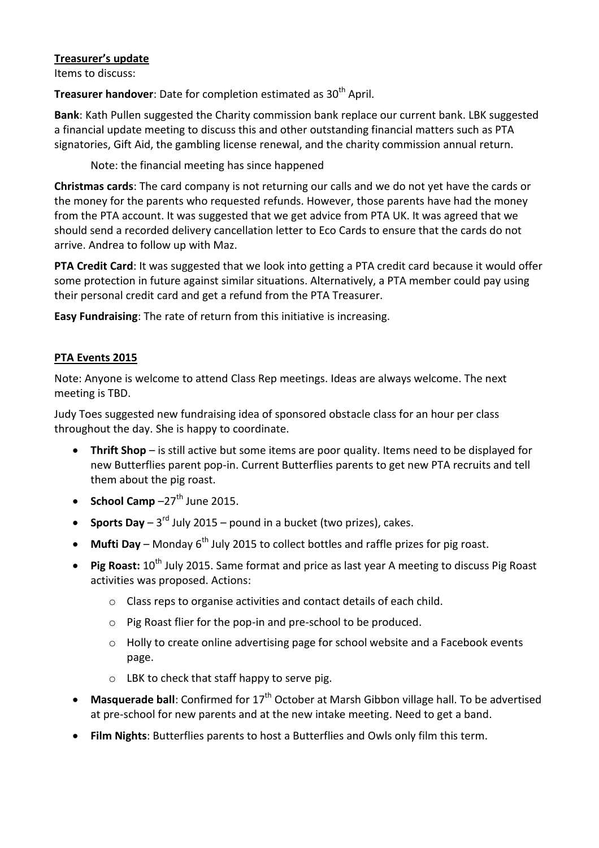### **Treasurer's update**

Items to discuss:

**Treasurer handover**: Date for completion estimated as 30<sup>th</sup> April.

**Bank**: Kath Pullen suggested the Charity commission bank replace our current bank. LBK suggested a financial update meeting to discuss this and other outstanding financial matters such as PTA signatories, Gift Aid, the gambling license renewal, and the charity commission annual return.

Note: the financial meeting has since happened

**Christmas cards**: The card company is not returning our calls and we do not yet have the cards or the money for the parents who requested refunds. However, those parents have had the money from the PTA account. It was suggested that we get advice from PTA UK. It was agreed that we should send a recorded delivery cancellation letter to Eco Cards to ensure that the cards do not arrive. Andrea to follow up with Maz.

**PTA Credit Card**: It was suggested that we look into getting a PTA credit card because it would offer some protection in future against similar situations. Alternatively, a PTA member could pay using their personal credit card and get a refund from the PTA Treasurer.

**Easy Fundraising**: The rate of return from this initiative is increasing.

#### **PTA Events 2015**

Note: Anyone is welcome to attend Class Rep meetings. Ideas are always welcome. The next meeting is TBD.

Judy Toes suggested new fundraising idea of sponsored obstacle class for an hour per class throughout the day. She is happy to coordinate.

- **Thrift Shop** is still active but some items are poor quality. Items need to be displayed for new Butterflies parent pop-in. Current Butterflies parents to get new PTA recruits and tell them about the pig roast.
- **School Camp**  $-27$ <sup>th</sup> June 2015.
- **Sports Day**  $-3^{rd}$  July 2015 pound in a bucket (two prizes), cakes.
- Mufti Day Monday 6<sup>th</sup> July 2015 to collect bottles and raffle prizes for pig roast.
- Pig Roast: 10<sup>th</sup> July 2015. Same format and price as last year A meeting to discuss Pig Roast activities was proposed. Actions:
	- o Class reps to organise activities and contact details of each child.
	- o Pig Roast flier for the pop-in and pre-school to be produced.
	- o Holly to create online advertising page for school website and a Facebook events page.
	- o LBK to check that staff happy to serve pig.
- Masquerade ball: Confirmed for 17<sup>th</sup> October at Marsh Gibbon village hall. To be advertised at pre-school for new parents and at the new intake meeting. Need to get a band.
- **Film Nights**: Butterflies parents to host a Butterflies and Owls only film this term.